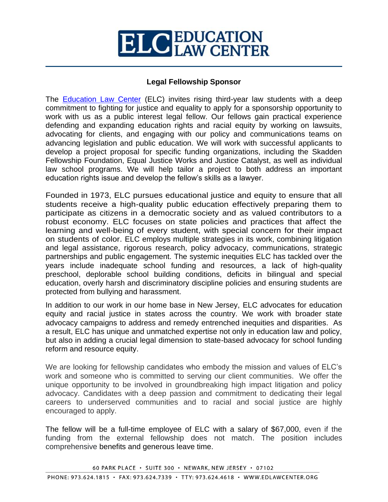## **ELC** EDUCATION

## **Legal Fellowship Sponsor**

The [Education Law Center](https://edlawcenter.org/) (ELC) invites rising third-year law students with a deep commitment to fighting for justice and equality to apply for a sponsorship opportunity to work with us as a public interest legal fellow. Our fellows gain practical experience defending and expanding education rights and racial equity by working on lawsuits, advocating for clients, and engaging with our policy and communications teams on advancing legislation and public education. We will work with successful applicants to develop a project proposal for specific funding organizations, including the Skadden Fellowship Foundation, Equal Justice Works and Justice Catalyst, as well as individual law school programs. We will help tailor a project to both address an important education rights issue and develop the fellow's skills as a lawyer.

Founded in 1973, ELC pursues educational justice and equity to ensure that all students receive a high-quality public education effectively preparing them to participate as citizens in a democratic society and as valued contributors to a robust economy. ELC focuses on state policies and practices that affect the learning and well-being of every student, with special concern for their impact on students of color. ELC employs multiple strategies in its work, combining litigation and legal assistance, rigorous research, policy advocacy, communications, strategic partnerships and public engagement. The systemic inequities ELC has tackled over the years include inadequate school funding and resources, a lack of high-quality preschool, deplorable school building conditions, deficits in bilingual and special education, overly harsh and discriminatory discipline policies and ensuring students are protected from bullying and harassment.

In addition to our work in our home base in New Jersey, ELC advocates for education equity and racial justice in states across the country. We work with broader state advocacy campaigns to address and remedy entrenched inequities and disparities. As a result, ELC has unique and unmatched expertise not only in education law and policy, but also in adding a crucial legal dimension to state-based advocacy for school funding reform and resource equity.

We are looking for fellowship candidates who embody the mission and values of ELC's work and someone who is committed to serving our client communities. We offer the unique opportunity to be involved in groundbreaking high impact litigation and policy advocacy. Candidates with a deep passion and commitment to dedicating their legal careers to underserved communities and to racial and social justice are highly encouraged to apply.

The fellow will be a full-time employee of ELC with a salary of \$67,000, even if the funding from the external fellowship does not match. The position includes comprehensive benefits and generous leave time.

60 PARK PLACE · SUITE 300 · NEWARK, NEW JERSEY · 07102